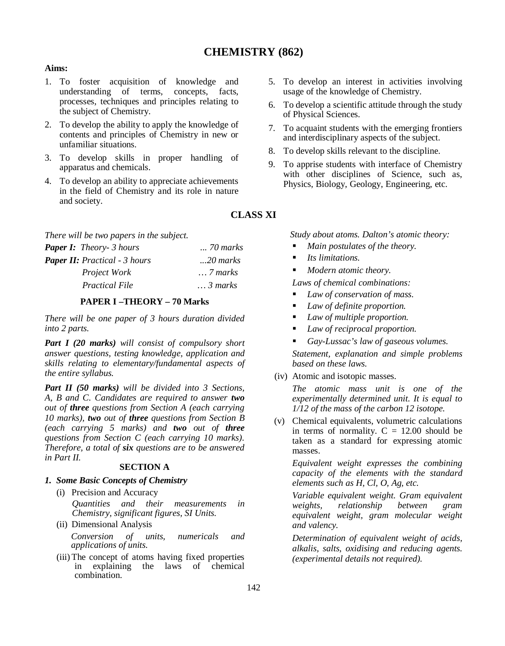# **CHEMISTRY (862)**

# **Aims:**

- 1. To foster acquisition of knowledge and understanding of terms, concepts, facts, processes, techniques and principles relating to the subject of Chemistry.
- 2. To develop the ability to apply the knowledge of contents and principles of Chemistry in new or unfamiliar situations.
- 3. To develop skills in proper handling of apparatus and chemicals.
- 4. To develop an ability to appreciate achievements in the field of Chemistry and its role in nature and society.

*There will be two papers in the subject.*

| <b>Paper I:</b> Theory- 3 hours      | <i>70 marks</i>  |  |  |  |  |
|--------------------------------------|------------------|--|--|--|--|
| <b>Paper II:</b> Practical - 3 hours | $$ 20 marks      |  |  |  |  |
| <i>Project Work</i>                  | $\ldots$ 7 marks |  |  |  |  |
| <b>Practical File</b>                | $\ldots$ 3 marks |  |  |  |  |

## **PAPER I –THEORY – 70 Marks**

*There will be one paper of 3 hours duration divided into 2 parts.*

*Part I (20 marks) will consist of compulsory short answer questions, testing knowledge, application and skills relating to elementary/fundamental aspects of the entire syllabus.*

*Part II (50 marks) will be divided into 3 Sections, A, B and C. Candidates are required to answer two out of three questions from Section A (each carrying 10 marks), two out of three questions from Section B (each carrying 5 marks) and two out of three questions from Section C (each carrying 10 marks). Therefore, a total of six questions are to be answered in Part II.*

## **SECTION A**

- *1. Some Basic Concepts of Chemistry*
	- (i) Precision and Accuracy *Quantities and their measurements in Chemistry, significant figures, SI Units.*
	- (ii) Dimensional Analysis *Conversion of units, numericals and applications of units.*
	- (iii) The concept of atoms having fixed properties<br>in explaining the laws of chemical in explaining the laws of chemical combination.
- 5. To develop an interest in activities involving usage of the knowledge of Chemistry.
- 6. To develop a scientific attitude through the study of Physical Sciences.
- 7. To acquaint students with the emerging frontiers and interdisciplinary aspects of the subject.
- 8. To develop skills relevant to the discipline.
- 9. To apprise students with interface of Chemistry with other disciplines of Science, such as, Physics, Biology, Geology, Engineering, etc.

**CLASS XI**

*Study about atoms. Dalton's atomic theory:* 

- *Main postulates of the theory.*
- *Its limitations.*
- *Modern atomic theory.*

*Laws of chemical combinations:* 

- *Law of conservation of mass.*
- *Law of definite proportion.*
- *Law of multiple proportion.*
- *Law of reciprocal proportion.*
- *Gay-Lussac's law of gaseous volumes.*

*Statement, explanation and simple problems based on these laws.* 

(iv) Atomic and isotopic masses.

*The atomic mass unit is one of the experimentally determined unit. It is equal to 1/12 of the mass of the carbon 12 isotope.* 

(v) Chemical equivalents, volumetric calculations in terms of normality.  $C = 12.00$  should be taken as a standard for expressing atomic masses.

*Equivalent weight expresses the combining capacity of the elements with the standard elements such as H, Cl, O, Ag, etc.* 

*Variable equivalent weight. Gram equivalent weights, relationship between gram equivalent weight, gram molecular weight and valency.* 

*Determination of equivalent weight of acids, alkalis, salts, oxidising and reducing agents. (experimental details not required).*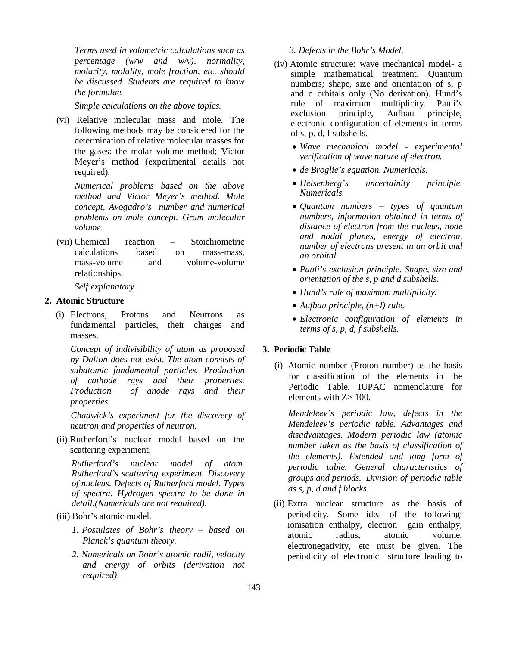*Terms used in volumetric calculations such as percentage (w/w and w/v), normality, molarity, molality, mole fraction, etc. should be discussed. Students are required to know the formulae.*

*Simple calculations on the above topics.*

(vi) Relative molecular mass and mole. The following methods may be considered for the determination of relative molecular masses for the gases: the molar volume method; Victor Meyer's method (experimental details not required).

*Numerical problems based on the above method and Victor Meyer's method. Mole concept, Avogadro's number and numerical problems on mole concept. Gram molecular volume.*

(vii) Chemical reaction – Stoichiometric calculations based on mass-mass, mass-volume and volume-volume relationships.

*Self explanatory.*

#### **2. Atomic Structure**

(i) Electrons, Protons and Neutrons as fundamental particles, their charges and masses.

*Concept of indivisibility of atom as proposed by Dalton does not exist. The atom consists of subatomic fundamental particles. Production of cathode rays and their properties. Production of anode rays and their properties.* 

*Chadwick's experiment for the discovery of neutron and properties of neutron.*

(ii) Rutherford's nuclear model based on the scattering experiment.

*Rutherford's nuclear model of atom. Rutherford's scattering experiment. Discovery of nucleus. Defects of Rutherford model. Types of spectra. Hydrogen spectra to be done in detail.(Numericals are not required).*

## (iii) Bohr's atomic model.

- *1. Postulates of Bohr's theory based on Planck's quantum theory.*
- *2. Numericals on Bohr's atomic radii, velocity and energy of orbits (derivation not required).*

#### *3. Defects in the Bohr's Model.*

- (iv) Atomic structure: wave mechanical model- a simple mathematical treatment. Quantum numbers; shape, size and orientation of s, p and d orbitals only (No derivation). Hund's rule of maximum multiplicity. Pauli's exclusion principle, Aufbau principle, electronic configuration of elements in terms of s, p, d, f subshells.
	- *Wave mechanical model experimental verification of wave nature of electron.*
	- *de Broglie's equation. Numericals.*
	- *Heisenberg's uncertainity principle. Numericals.*
	- *Quantum numbers types of quantum numbers, information obtained in terms of distance of electron from the nucleus, node and nodal planes, energy of electron, number of electrons present in an orbit and an orbital.*
	- *Pauli's exclusion principle. Shape, size and orientation of the s, p and d subshells.*
	- *Hund's rule of maximum multiplicity.*
	- *Aufbau principle, (n+l) rule.*
	- *Electronic configuration of elements in terms of s, p, d, f subshells.*

#### **3. Periodic Table**

(i) Atomic number (Proton number) as the basis for classification of the elements in the Periodic Table. IUPAC nomenclature for elements with Z> 100.

*Mendeleev's periodic law, defects in the Mendeleev's periodic table. Advantages and disadvantages. Modern periodic law (atomic number taken as the basis of classification of the elements). Extended and long form of periodic table. General characteristics of groups and periods. Division of periodic table as s, p, d and f blocks.*

(ii) Extra nuclear structure as the basis of periodicity. Some idea of the following: ionisation enthalpy, electron gain enthalpy, atomic radius, atomic volume, electronegativity, etc must be given. The periodicity of electronic structure leading to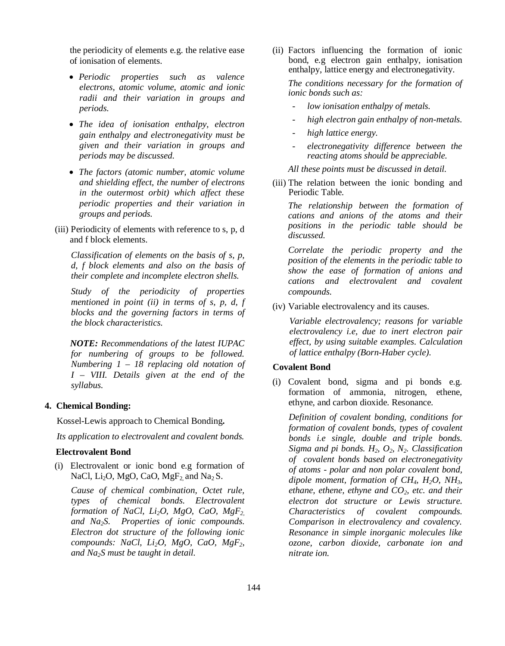the periodicity of elements e.g. the relative ease of ionisation of elements.

- *Periodic properties such as valence electrons, atomic volume, atomic and ionic radii and their variation in groups and periods.*
- *The idea of ionisation enthalpy, electron gain enthalpy and electronegativity must be given and their variation in groups and periods may be discussed.*
- *The factors (atomic number, atomic volume and shielding effect, the number of electrons in the outermost orbit) which affect these periodic properties and their variation in groups and periods.*
- (iii) Periodicity of elements with reference to s, p, d and f block elements.

*Classification of elements on the basis of s, p, d, f block elements and also on the basis of their complete and incomplete electron shells.*

*Study of the periodicity of properties mentioned in point (ii) in terms of s, p, d, f blocks and the governing factors in terms of the block characteristics.*

*NOTE: Recommendations of the latest IUPAC for numbering of groups to be followed. Numbering 1 – 18 replacing old notation of I – VIII. Details given at the end of the syllabus.* 

## **4. Chemical Bonding:**

Kossel-Lewis approach to Chemical Bonding**.**

*Its application to electrovalent and covalent bonds.*

## **Electrovalent Bond**

(i) Electrovalent or ionic bond e.g formation of NaCl,  $Li<sub>2</sub>O$ , MgO, CaO, MgF<sub>2</sub> and Na<sub>2</sub> S.

*Cause of chemical combination, Octet rule, types of chemical bonds. Electrovalent formation of NaCl, Li2O, MgO, CaO, MgF2, and Na2S. Properties of ionic compounds. Electron dot structure of the following ionic compounds: NaCl, Li2O, MgO, CaO, MgF2, and Na2S must be taught in detail.*

(ii) Factors influencing the formation of ionic bond, e.g electron gain enthalpy, ionisation enthalpy, lattice energy and electronegativity.

*The conditions necessary for the formation of ionic bonds such as:* 

- *low ionisation enthalpy of metals.*
- *high electron gain enthalpy of non-metals.*
- *high lattice energy.*
- *electronegativity difference between the reacting atoms should be appreciable.*

*All these points must be discussed in detail.*

(iii) The relation between the ionic bonding and Periodic Table.

*The relationship between the formation of cations and anions of the atoms and their positions in the periodic table should be discussed.* 

*Correlate the periodic property and the position of the elements in the periodic table to show the ease of formation of anions and cations and electrovalent and covalent compounds.*

(iv) Variable electrovalency and its causes.

*Variable electrovalency; reasons for variable electrovalency i.e, due to inert electron pair effect, by using suitable examples. Calculation of lattice enthalpy (Born-Haber cycle).*

#### **Covalent Bond**

(i) Covalent bond, sigma and pi bonds e.g. formation of ammonia, nitrogen, ethene, ethyne, and carbon dioxide. Resonance.

*Definition of covalent bonding, conditions for formation of covalent bonds, types of covalent bonds i.e single, double and triple bonds. Sigma and pi bonds. H2, O2, N2. Classification of covalent bonds based on electronegativity of atoms - polar and non polar covalent bond, dipole moment, formation of CH4, H2O, NH3, ethane, ethene, ethyne and CO2, etc. and their electron dot structure or Lewis structure. Characteristics of covalent compounds. Comparison in electrovalency and covalency. Resonance in simple inorganic molecules like ozone, carbon dioxide, carbonate ion and nitrate ion.*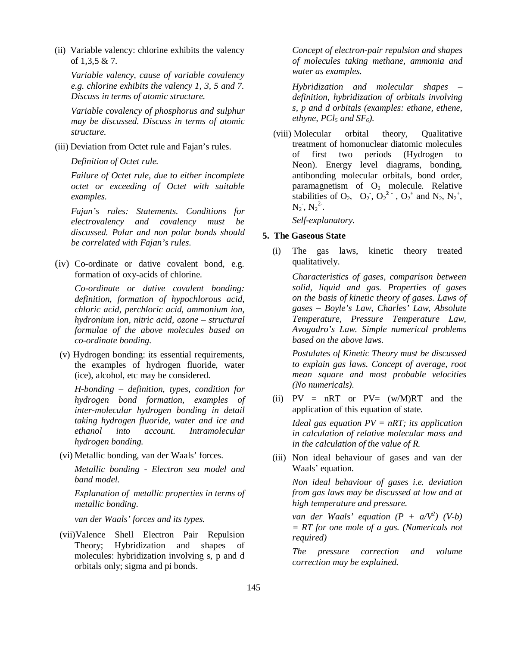(ii) Variable valency: chlorine exhibits the valency of 1,3,5 & 7.

*Variable valency, cause of variable covalency e.g. chlorine exhibits the valency 1, 3, 5 and 7. Discuss in terms of atomic structure.* 

*Variable covalency of phosphorus and sulphur may be discussed. Discuss in terms of atomic structure.*

(iii) Deviation from Octet rule and Fajan's rules.

*Definition of Octet rule.* 

*Failure of Octet rule, due to either incomplete octet or exceeding of Octet with suitable examples.* 

*Fajan's rules: Statements. Conditions for electrovalency and covalency must be discussed. Polar and non polar bonds should be correlated with Fajan's rules.*

(iv) Co-ordinate or dative covalent bond, e.g. formation of oxy-acids of chlorine.

*Co-ordinate or dative covalent bonding: definition, formation of hypochlorous acid, chloric acid, perchloric acid, ammonium ion, hydronium ion, nitric acid, ozone – structural formulae of the above molecules based on co-ordinate bonding.* 

(v) Hydrogen bonding: its essential requirements, the examples of hydrogen fluoride, water (ice), alcohol, etc may be considered.

*H-bonding – definition, types, condition for hydrogen bond formation, examples of inter-molecular hydrogen bonding in detail taking hydrogen fluoride, water and ice and ethanol into account. Intramolecular hydrogen bonding.*

(vi) Metallic bonding, van der Waals' forces.

*Metallic bonding - Electron sea model and band model.*

*Explanation of metallic properties in terms of metallic bonding.*

*van der Waals' forces and its types.*

(vii)Valence Shell Electron Pair Repulsion Theory; Hybridization and shapes of molecules: hybridization involving s, p and d orbitals only; sigma and pi bonds.

*Concept of electron-pair repulsion and shapes of molecules taking methane, ammonia and water as examples.*

*Hybridization and molecular shapes – definition, hybridization of orbitals involving s, p and d orbitals (examples: ethane, ethene, ethyne, PCl<sub>5</sub> and*  $SF_6$ *).* 

(viii) Molecular orbital theory, Qualitative treatment of homonuclear diatomic molecules of first two periods (Hydrogen to Neon). Energy level diagrams, bonding, antibonding molecular orbitals, bond order, paramagnetism of  $O_2$  molecule. Relative stabilities of  $O_2$ ,  $O_2$ ,  $O_2^2$ ,  $O_2^2$  and  $N_2$ ,  $N_2^+$ ,  $N_2$ ,  $N_2^2$ .

*Self-explanatory.*

## **5. The Gaseous State**

(i) The gas laws, kinetic theory treated qualitatively.

> *Characteristics of gases, comparison between solid, liquid and gas. Properties of gases on the basis of kinetic theory of gases. Laws of gases – Boyle's Law, Charles' Law, Absolute Temperature, Pressure Temperature Law, Avogadro's Law. Simple numerical problems based on the above laws.*

> *Postulates of Kinetic Theory must be discussed to explain gas laws. Concept of average, root mean square and most probable velocities (No numericals).*

(ii)  $PV = nRT$  or  $PV = (w/M)RT$  and the application of this equation of state.

> *Ideal gas equation PV = nRT; its application in calculation of relative molecular mass and in the calculation of the value of R.*

(iii) Non ideal behaviour of gases and van der Waals' equation.

*Non ideal behaviour of gases i.e. deviation from gas laws may be discussed at low and at high temperature and pressure.* 

*van der Waals' equation*  $(P + a/V^2)$   $(V-b)$ *= RT for one mole of a gas. (Numericals not required)*

*The pressure correction and volume correction may be explained.*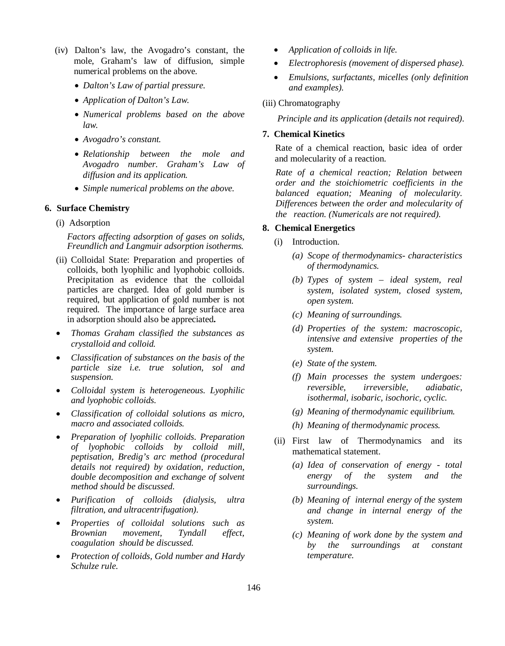- (iv) Dalton's law, the Avogadro's constant, the mole, Graham's law of diffusion, simple numerical problems on the above.
	- *Dalton's Law of partial pressure.*
	- *Application of Dalton's Law.*
	- *Numerical problems based on the above law.*
	- *Avogadro's constant.*
	- *Relationship between the mole and Avogadro number. Graham's Law of diffusion and its application.*
	- *Simple numerical problems on the above.*

## **6. Surface Chemistry**

(i) Adsorption

*Factors affecting adsorption of gases on solids, Freundlich and Langmuir adsorption isotherms.*

- (ii) Colloidal State: Preparation and properties of colloids, both lyophilic and lyophobic colloids. Precipitation as evidence that the colloidal particles are charged. Idea of gold number is required, but application of gold number is not required. The importance of large surface area in adsorption should also be appreciated**.**
- *Thomas Graham classified the substances as crystalloid and colloid.*
- *Classification of substances on the basis of the particle size i.e. true solution, sol and suspension.*
- *Colloidal system is heterogeneous. Lyophilic and lyophobic colloids.*
- *Classification of colloidal solutions as micro, macro and associated colloids.*
- *Preparation of lyophilic colloids. Preparation of lyophobic colloids by colloid mill, peptisation, Bredig's arc method (procedural details not required) by oxidation, reduction, double decomposition and exchange of solvent method should be discussed.*
- *Purification of colloids (dialysis, ultra filtration, and ultracentrifugation).*
- *Properties of colloidal solutions such as Brownian movement, Tyndall effect, coagulation should be discussed.*
- *Protection of colloids, Gold number and Hardy Schulze rule.*
- *Application of colloids in life.*
- *Electrophoresis (movement of dispersed phase).*
- *Emulsions, surfactants, micelles (only definition and examples).*

#### (iii) Chromatography

*Principle and its application (details not required).*

#### **7. Chemical Kinetics**

Rate of a chemical reaction, basic idea of order and molecularity of a reaction.

*Rate of a chemical reaction; Relation between order and the stoichiometric coefficients in the balanced equation; Meaning of molecularity. Differences between the order and molecularity of the reaction. (Numericals are not required).*

## **8. Chemical Energetics**

- (i) Introduction.
	- *(a) Scope of thermodynamics- characteristics of thermodynamics.*
	- *(b) Types of system ideal system, real system, isolated system, closed system, open system.*
	- *(c) Meaning of surroundings.*
	- *(d) Properties of the system: macroscopic, intensive and extensive properties of the system.*
	- *(e) State of the system.*
	- *(f) Main processes the system undergoes: reversible, irreversible, adiabatic, isothermal, isobaric, isochoric, cyclic.*
	- *(g) Meaning of thermodynamic equilibrium.*
	- *(h) Meaning of thermodynamic process.*
- (ii) First law of Thermodynamics and its mathematical statement.
	- *(a) Idea of conservation of energy total energy of the system and the surroundings.*
	- *(b) Meaning of internal energy of the system and change in internal energy of the system.*
	- *(c) Meaning of work done by the system and by the surroundings at constant temperature.*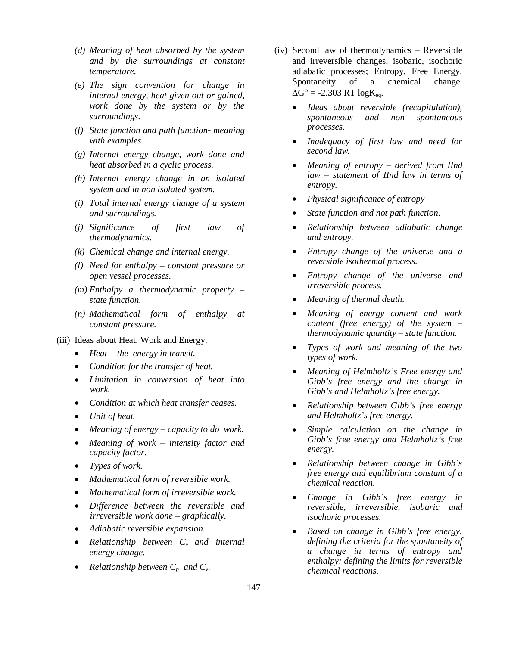- *(d) Meaning of heat absorbed by the system and by the surroundings at constant temperature.*
- *(e) The sign convention for change in internal energy, heat given out or gained, work done by the system or by the surroundings.*
- *(f) State function and path function- meaning with examples.*
- *(g) Internal energy change, work done and heat absorbed in a cyclic process.*
- *(h) Internal energy change in an isolated system and in non isolated system.*
- *(i) Total internal energy change of a system and surroundings.*
- *(j) Significance of first law of thermodynamics.*
- *(k) Chemical change and internal energy.*
- *(l) Need for enthalpy constant pressure or open vessel processes.*
- *(m) Enthalpy a thermodynamic property – state function.*
- *(n) Mathematical form of enthalpy at constant pressure.*
- (iii) Ideas about Heat, Work and Energy.
	- *Heat the energy in transit.*
	- *Condition for the transfer of heat.*
	- *Limitation in conversion of heat into work.*
	- *Condition at which heat transfer ceases.*
	- *Unit of heat.*
	- *Meaning of energy capacity to do work.*
	- *Meaning of work intensity factor and capacity factor.*
	- *Types of work.*
	- *Mathematical form of reversible work.*
	- *Mathematical form of irreversible work.*
	- *Difference between the reversible and irreversible work done – graphically.*
	- *Adiabatic reversible expansion.*
	- *Relationship between Cv and internal energy change.*
	- *Relationship between Cp and Cv.*
- (iv) Second law of thermodynamics Reversible and irreversible changes, isobaric, isochoric adiabatic processes; Entropy, Free Energy. Spontaneity of a chemical change.  $\Delta G^{\circ}$  = -2.303 RT logK<sub>eq</sub>.
	- *Ideas about reversible (recapitulation), spontaneous and non spontaneous processes.*
	- *Inadequacy of first law and need for second law.*
	- *Meaning of entropy derived from IInd law – statement of IInd law in terms of entropy.*
	- *Physical significance of entropy*
	- *State function and not path function.*
	- *Relationship between adiabatic change and entropy.*
	- *Entropy change of the universe and a reversible isothermal process.*
	- *Entropy change of the universe and irreversible process.*
	- *Meaning of thermal death.*
	- *Meaning of energy content and work content (free energy) of the system – thermodynamic quantity – state function.*
	- *Types of work and meaning of the two types of work.*
	- *Meaning of Helmholtz's Free energy and Gibb's free energy and the change in Gibb's and Helmholtz's free energy.*
	- *Relationship between Gibb's free energy and Helmholtz's free energy.*
	- *Simple calculation on the change in Gibb's free energy and Helmholtz's free energy.*
	- *Relationship between change in Gibb's free energy and equilibrium constant of a chemical reaction.*
	- *Change in Gibb's free energy in reversible, irreversible, isobaric and isochoric processes.*
	- *Based on change in Gibb's free energy, defining the criteria for the spontaneity of a change in terms of entropy and enthalpy; defining the limits for reversible chemical reactions.*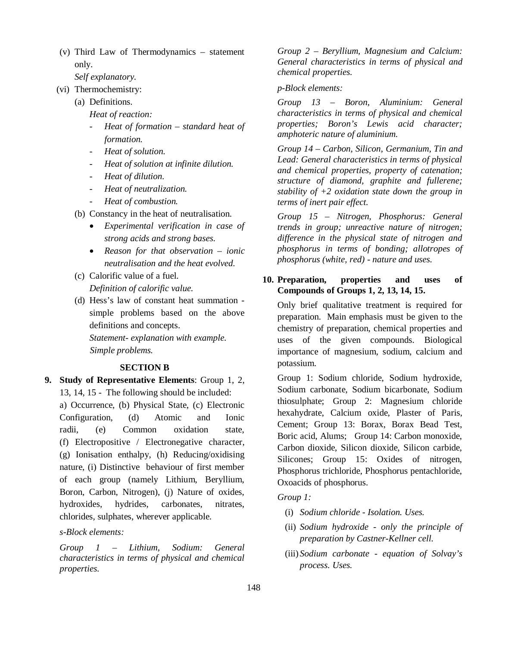(v) Third Law of Thermodynamics – statement only.

*Self explanatory.*

- (vi) Thermochemistry:
	- (a) Definitions.

*Heat of reaction:*

- *Heat of formation standard heat of formation.*
- *Heat of solution.*
- *Heat of solution at infinite dilution.*
- *Heat of dilution.*
- *Heat of neutralization.*
- *Heat of combustion.*
- (b) Constancy in the heat of neutralisation.
	- *Experimental verification in case of strong acids and strong bases.*
	- *Reason for that observation ionic neutralisation and the heat evolved.*
- (c) Calorific value of a fuel. *Definition of calorific value.*
- (d) Hess's law of constant heat summation simple problems based on the above definitions and concepts. *Statement- explanation with example. Simple problems.*

# **SECTION B**

**9. Study of Representative Elements**: Group 1, 2, 13, 14, 15 - The following should be included: a) Occurrence, (b) Physical State, (c) Electronic Configuration, (d) Atomic and Ionic radii, (e) Common oxidation state, (f) Electropositive / Electronegative character, (g) Ionisation enthalpy, (h) Reducing/oxidising nature, (i) Distinctive behaviour of first member of each group (namely Lithium, Beryllium, Boron, Carbon, Nitrogen), (j) Nature of oxides, hydroxides, hydrides, carbonates, nitrates, chlorides, sulphates, wherever applicable.

*s-Block elements:*

*Group 1 – Lithium, Sodium: General characteristics in terms of physical and chemical properties.*

*Group 2 – Beryllium, Magnesium and Calcium: General characteristics in terms of physical and chemical properties.*

## *p-Block elements:*

*Group 13 – Boron, Aluminium: General characteristics in terms of physical and chemical properties; Boron's Lewis acid character; amphoteric nature of aluminium.*

*Group 14 – Carbon, Silicon, Germanium, Tin and Lead: General characteristics in terms of physical and chemical properties, property of catenation; structure of diamond, graphite and fullerene; stability of +2 oxidation state down the group in terms of inert pair effect.*

*Group 15 – Nitrogen, Phosphorus: General trends in group; unreactive nature of nitrogen; difference in the physical state of nitrogen and phosphorus in terms of bonding; allotropes of phosphorus (white, red) - nature and uses.*

# **10. Preparation, properties and uses of Compounds of Groups 1, 2, 13, 14, 15.**

Only brief qualitative treatment is required for preparation. Main emphasis must be given to the chemistry of preparation, chemical properties and uses of the given compounds. Biological importance of magnesium, sodium, calcium and potassium.

Group 1: Sodium chloride, Sodium hydroxide, Sodium carbonate, Sodium bicarbonate, Sodium thiosulphate; Group 2: Magnesium chloride hexahydrate, Calcium oxide, Plaster of Paris, Cement; Group 13: Borax, Borax Bead Test, Boric acid, Alums; Group 14: Carbon monoxide, Carbon dioxide, Silicon dioxide, Silicon carbide, Silicones; Group 15: Oxides of nitrogen, Phosphorus trichloride, Phosphorus pentachloride, Oxoacids of phosphorus.

*Group 1:* 

- (i) *Sodium chloride Isolation. Uses.*
- (ii) *Sodium hydroxide only the principle of preparation by Castner-Kellner cell.*
- (iii) *Sodium carbonate equation of Solvay's process. Uses.*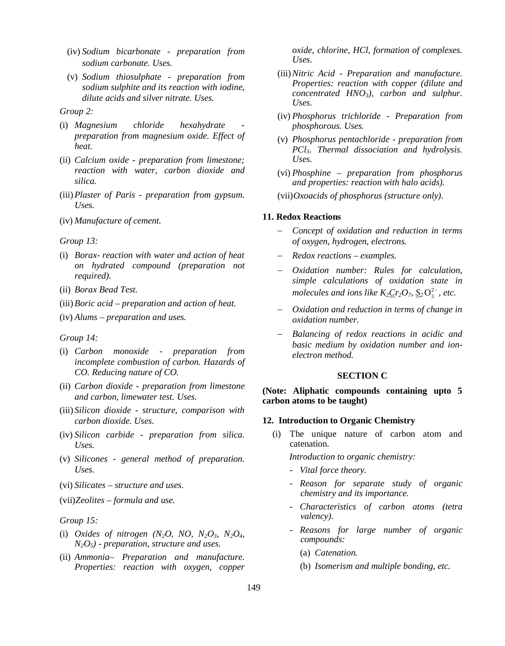- (iv) *Sodium bicarbonate preparation from sodium carbonate. Uses.*
- (v) *Sodium thiosulphate preparation from sodium sulphite and its reaction with iodine, dilute acids and silver nitrate. Uses.*

### *Group 2:*

- (i) *Magnesium chloride hexahydrate preparation from magnesium oxide. Effect of heat.*
- (ii) *Calcium oxide preparation from limestone; reaction with water, carbon dioxide and silica.*
- (iii)*Plaster of Paris preparation from gypsum. Uses.*
- (iv) *Manufacture of cement.*

#### *Group 13:*

- (i) *Borax- reaction with water and action of heat on hydrated compound (preparation not required).*
- (ii) *Borax Bead Test.*
- (iii)*Boric acid preparation and action of heat.*
- (iv) *Alums preparation and uses.*

#### *Group 14:*

- (i) *Carbon monoxide preparation from incomplete combustion of carbon. Hazards of CO. Reducing nature of CO.*
- (ii) *Carbon dioxide preparation from limestone and carbon, limewater test. Uses.*
- (iii) *Silicon dioxide structure, comparison with carbon dioxide. Uses.*
- (iv) *Silicon carbide preparation from silica. Uses.*
- (v) *Silicones general method of preparation. Uses.*
- (vi) *Silicates structure and uses.*
- (vii)*Zeolites formula and use.*

#### *Group 15:*

- (i) *Oxides of nitrogen*  $(N_2O, NO, N_2O_3, N_2O_4,$ *N2O5) - preparation, structure and uses.*
- (ii) *Ammonia– Preparation and manufacture. Properties: reaction with oxygen, copper*

*oxide, chlorine, HCl, formation of complexes. Uses.*

- (iii)*Nitric Acid Preparation and manufacture. Properties: reaction with copper (dilute and concentrated HNO3), carbon and sulphur. Uses.*
- (iv) *Phosphorus trichloride Preparation from phosphorous. Uses.*
- (v) *Phosphorus pentachloride preparation from PCl3. Thermal dissociation and hydrolysis. Uses.*
- (vi) *Phosphine preparation from phosphorus and properties: reaction with halo acids).*

(vii)*Oxoacids of phosphorus (structure only).*

#### **11. Redox Reactions**

- *Concept of oxidation and reduction in terms of oxygen, hydrogen, electrons.*
- *Redox reactions examples.*
- *Oxidation number: Rules for calculation, simple calculations of oxidation state in molecules and ions like*  $K_2 \underline{C} r_2 O_7$ ,  $\underline{S}_2 O_3^{2-}$ , *etc.*
- *Oxidation and reduction in terms of change in oxidation number.*
- *Balancing of redox reactions in acidic and basic medium by oxidation number and ionelectron method.*

## **SECTION C**

**(Note: Aliphatic compounds containing upto 5 carbon atoms to be taught)**

#### **12. Introduction to Organic Chemistry**

(i) The unique nature of carbon atom and catenation.

*Introduction to organic chemistry:* 

- *Vital force theory.*
- *Reason for separate study of organic chemistry and its importance.*
- *Characteristics of carbon atoms (tetra valency).*
- *Reasons for large number of organic compounds:* 
	- (a) *Catenation.*
	- (b) *Isomerism and multiple bonding, etc.*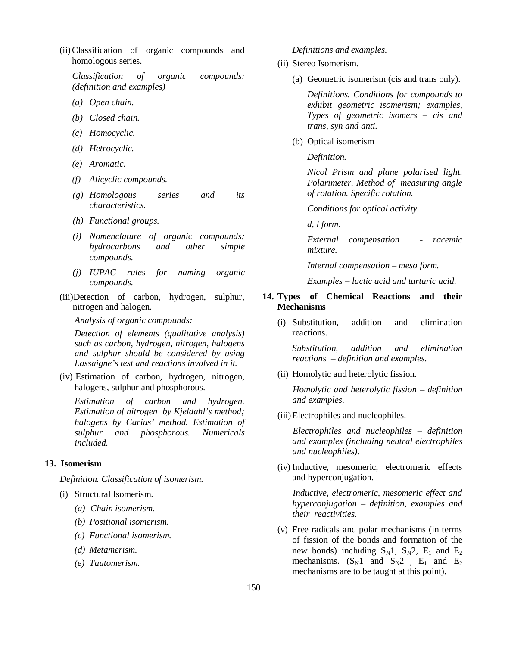(ii)Classification of organic compounds and homologous series.

*Classification of organic compounds: (definition and examples)*

- *(a) Open chain.*
- *(b) Closed chain.*
- *(c) Homocyclic.*
- *(d) Hetrocyclic.*
- *(e) Aromatic.*
- *(f) Alicyclic compounds.*
- *(g) Homologous series and its characteristics.*
- *(h) Functional groups.*
- *(i) Nomenclature of organic compounds; hydrocarbons and other simple compounds.*
- *(j) IUPAC rules for naming organic compounds.*
- (iii)Detection of carbon, hydrogen, sulphur, nitrogen and halogen.

*Analysis of organic compounds:* 

*Detection of elements (qualitative analysis) such as carbon, hydrogen, nitrogen, halogens and sulphur should be considered by using Lassaigne's test and reactions involved in it.*

(iv) Estimation of carbon, hydrogen, nitrogen, halogens, sulphur and phosphorous.

*Estimation of carbon and hydrogen. Estimation of nitrogen by Kjeldahl's method; halogens by Carius' method. Estimation of sulphur and phosphorous. Numericals included.*

#### **13. Isomerism**

*Definition. Classification of isomerism.*

- (i) Structural Isomerism.
	- *(a) Chain isomerism.*
	- *(b) Positional isomerism.*
	- *(c) Functional isomerism.*
	- *(d) Metamerism.*
	- *(e) Tautomerism.*

## *Definitions and examples.*

- (ii) Stereo Isomerism.
	- (a) Geometric isomerism (cis and trans only).

*Definitions. Conditions for compounds to exhibit geometric isomerism; examples, Types of geometric isomers – cis and trans, syn and anti.* 

(b) Optical isomerism

*Definition.* 

*Nicol Prism and plane polarised light. Polarimeter. Method of measuring angle of rotation. Specific rotation.*

*Conditions for optical activity.*

*d, l form.*

*External compensation - racemic mixture.*

*Internal compensation – meso form.*

*Examples – lactic acid and tartaric acid.*

## **14. Types of Chemical Reactions and their Mechanisms**

(i) Substitution, addition and elimination reactions.

*Substitution, addition and elimination reactions – definition and examples.*

(ii) Homolytic and heterolytic fission.

*Homolytic and heterolytic fission – definition and examples.*

(iii)Electrophiles and nucleophiles.

*Electrophiles and nucleophiles – definition and examples (including neutral electrophiles and nucleophiles).*

(iv) Inductive, mesomeric, electromeric effects and hyperconjugation.

*Inductive, electromeric, mesomeric effect and hyperconjugation – definition, examples and their reactivities.*

(v) Free radicals and polar mechanisms (in terms of fission of the bonds and formation of the new bonds) including  $S_N1$ ,  $S_N2$ ,  $E_1$  and  $E_2$ mechanisms.  $(S_N 1 \text{ and } S_N 2$ ,  $E_1$  and  $E_2$ mechanisms are to be taught at this point).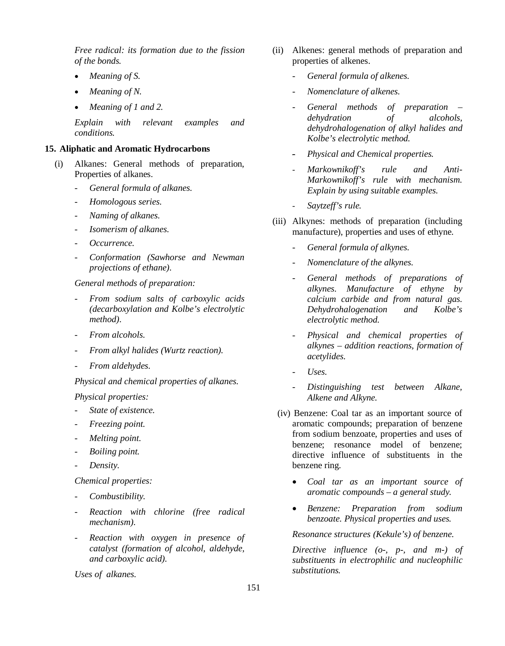*Free radical: its formation due to the fission of the bonds.*

- *Meaning of S.*
- *Meaning of N.*
- *Meaning of 1 and 2.*

*Explain with relevant examples and conditions.*

#### **15. Aliphatic and Aromatic Hydrocarbons**

- (i) Alkanes: General methods of preparation, Properties of alkanes.
	- *General formula of alkanes.*
	- *Homologous series.*
	- *Naming of alkanes.*
	- *Isomerism of alkanes.*
	- *Occurrence.*
	- *Conformation (Sawhorse and Newman projections of ethane).*

*General methods of preparation:* 

- *From sodium salts of carboxylic acids (decarboxylation and Kolbe's electrolytic method).*
- *From alcohols.*
- *From alkyl halides (Wurtz reaction).*
- *From aldehydes.*

*Physical and chemical properties of alkanes.* 

*Physical properties:*

- *State of existence.*
- *Freezing point.*
- *Melting point.*
- *Boiling point.*
- *Density.*

*Chemical properties:*

- *Combustibility.*
- *Reaction with chlorine (free radical mechanism).*
- *Reaction with oxygen in presence of catalyst (formation of alcohol, aldehyde, and carboxylic acid).*

*Uses of alkanes.* 

- (ii) Alkenes: general methods of preparation and properties of alkenes.
	- *General formula of alkenes.*
	- *Nomenclature of alkenes.*
	- *General methods of preparation – dehydration of alcohols, dehydrohalogenation of alkyl halides and Kolbe's electrolytic method.*
	- *Physical and Chemical properties.*
	- *Markownikoff's rule and Anti-Markownikoff's rule with mechanism. Explain by using suitable examples.*
	- *Saytzeff's rule.*
- (iii) Alkynes: methods of preparation (including manufacture), properties and uses of ethyne.
	- *General formula of alkynes.*
	- *Nomenclature of the alkynes.*
	- General methods of preparations of *alkynes. Manufacture of ethyne by calcium carbide and from natural gas. Dehydrohalogenation and Kolbe's electrolytic method.*
	- *Physical and chemical properties of alkynes – addition reactions, formation of acetylides.*
	- *Uses.*
	- *Distinguishing test between Alkane, Alkene and Alkyne.*
- (iv) Benzene: Coal tar as an important source of aromatic compounds; preparation of benzene from sodium benzoate, properties and uses of benzene; resonance model of benzene; directive influence of substituents in the benzene ring.
	- *Coal tar as an important source of aromatic compounds – a general study.*
	- *Benzene: Preparation from sodium benzoate. Physical properties and uses.*

## *Resonance structures (Kekule's) of benzene.*

*Directive influence (o-, p-, and m-) of substituents in electrophilic and nucleophilic substitutions.*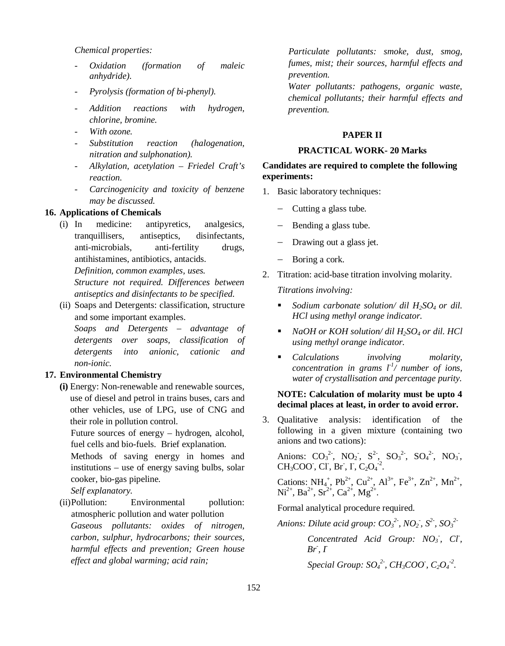## *Chemical properties:*

- *Oxidation (formation of maleic anhydride).*
- *Pyrolysis (formation of bi-phenyl).*
- *Addition reactions with hydrogen, chlorine, bromine.*
- *With ozone.*
- *Substitution reaction (halogenation, nitration and sulphonation).*
- *Alkylation, acetylation Friedel Craft's reaction.*
- *Carcinogenicity and toxicity of benzene may be discussed.*

#### **16. Applications of Chemicals**

(i) In medicine: antipyretics, analgesics, tranquillisers, antiseptics, disinfectants, anti-microbials, anti-fertility drugs, antihistamines, antibiotics, antacids. *Definition, common examples, uses.*

*Structure not required. Differences between antiseptics and disinfectants to be specified.*

(ii) Soaps and Detergents: classification, structure and some important examples.

*Soaps and Detergents – advantage of detergents over soaps, classification of detergents into anionic, cationic and non-ionic.*

## **17. Environmental Chemistry**

**(i)** Energy: Non-renewable and renewable sources, use of diesel and petrol in trains buses, cars and other vehicles, use of LPG, use of CNG and their role in pollution control.

Future sources of energy – hydrogen, alcohol, fuel cells and bio-fuels. Brief explanation.

Methods of saving energy in homes and institutions – use of energy saving bulbs, solar cooker, bio-gas pipeline.

*Self explanatory.*

(ii)Pollution: Environmental pollution: atmospheric pollution and water pollution *Gaseous pollutants: oxides of nitrogen, carbon, sulphur, hydrocarbons; their sources, harmful effects and prevention; Green house effect and global warming; acid rain;* 

*Particulate pollutants: smoke, dust, smog, fumes, mist; their sources, harmful effects and prevention.*

*Water pollutants: pathogens, organic waste, chemical pollutants; their harmful effects and prevention.* 

#### **PAPER II**

#### **PRACTICAL WORK- 20 Marks**

# **Candidates are required to complete the following experiments:**

- 1. Basic laboratory techniques:
	- $-$  Cutting a glass tube.
	- $-$  Bending a glass tube.
	- Drawing out a glass jet.
	- Boring a cork.
- 2. Titration: acid-base titration involving molarity.

*Titrations involving:*

- *Sodium carbonate solution/ dil H2SO4 or dil. HCl using methyl orange indicator.*
- *NaOH or KOH solution/ dil H2SO4 or dil. HCl using methyl orange indicator.*
- *Calculations involving molarity, concentration in grams*  $l^{-1}/$  *number of ions, water of crystallisation and percentage purity.*

# **NOTE: Calculation of molarity must be upto 4 decimal places at least, in order to avoid error.**

3. Qualitative analysis: identification of the following in a given mixture (containing two anions and two cations):

Anions:  $CO_3^2$ ,  $NO_2$ ,  $S^2$ ,  $SO_3^2$ ,  $SO_4^2$ ,  $NO_3$ ,  $CH_3COO^{\dagger}$ , Cl<sup>-</sup>, Br<sup>-</sup>, I<sup>-</sup>, C<sub>2</sub>O<sub>4</sub><sup>-2</sup>.

Cations:  $NH_4^+$ ,  $Pb^{2+}$ ,  $Cu^{2+}$ ,  $Al^{3+}$ ,  $Fe^{3+}$ ,  $Zn^{2+}$ ,  $Mn^{2+}$ ,  $\text{Ni}^{2+}$ ,  $\text{Ba}^{2+}$ ,  $\text{Sr}^{2+}$ ,  $\text{Ca}^{2+}$ ,  $\text{Mg}^{2+}$ .

Formal analytical procedure required.

*Anions: Dilute acid group: CO<sup>3</sup> 2- , NO<sup>2</sup> - , S2- , SO<sup>3</sup> 2-*

*Concentrated Acid Group: NO<sup>3</sup> - , Cl- , Br- , I-*

*Special Group:*  $SO_4^2$ <sup>2</sup>,  $CH_3COO$ <sup>2</sup>,  $C_2O_4^2$ <sup>2</sup>.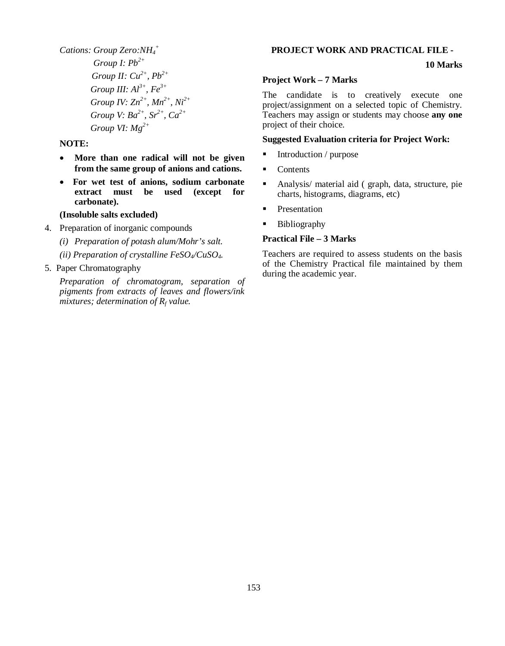*Cations: Group Zero:NH<sup>4</sup> + Group I: Pb2+ Group II: Cu2+, Pb2+ Group III: Al3+, Fe3+ Group IV: Zn2+, Mn2+, Ni2+ Group V: Ba2+, Sr2+ , Ca2+ Group VI: Mg2+*

## **NOTE:**

- **More than one radical will not be given from the same group of anions and cations.**
- **For wet test of anions, sodium carbonate extract must be used (except for carbonate).**

#### **(Insoluble salts excluded)**

- 4. Preparation of inorganic compounds
	- *(i) Preparation of potash alum/Mohr's salt.*
	- *(ii) Preparation of crystalline FeSO4/CuSO4.*

## 5. Paper Chromatography

*Preparation of chromatogram, separation of pigments from extracts of leaves and flowers/ink mixtures; determination of R<sup>f</sup> value.*

#### **PROJECT WORK AND PRACTICAL FILE -**

# **10 Marks**

#### **Project Work – 7 Marks**

The candidate is to creatively execute one project/assignment on a selected topic of Chemistry. Teachers may assign or students may choose **any one** project of their choice.

## **Suggested Evaluation criteria for Project Work:**

- Introduction / purpose
- Contents
- Analysis/ material aid ( graph, data, structure, pie charts, histograms, diagrams, etc)
- **Presentation**
- **Bibliography**

## **Practical File – 3 Marks**

Teachers are required to assess students on the basis of the Chemistry Practical file maintained by them during the academic year.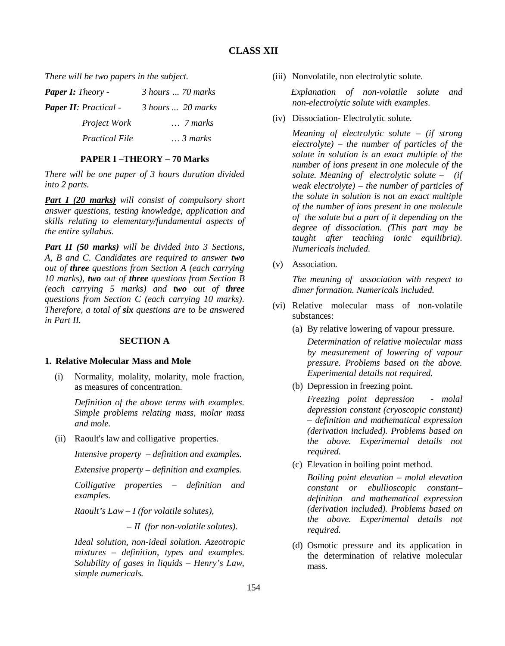# **CLASS XII**

*There will be two papers in the subject.*

| <b>Paper I:</b> Theory -     | 3 hours  70 marks               |  |  |  |  |  |  |
|------------------------------|---------------------------------|--|--|--|--|--|--|
| <b>Paper II:</b> Practical - | $\beta$ hours $\ldots$ 20 marks |  |  |  |  |  |  |
| Project Work                 | $\ldots$ 7 marks                |  |  |  |  |  |  |
| <b>Practical File</b>        | $\therefore$ 3 marks            |  |  |  |  |  |  |

# **PAPER I –THEORY – 70 Marks**

*There will be one paper of 3 hours duration divided into 2 parts.*

*Part I (20 marks) will consist of compulsory short answer questions, testing knowledge, application and skills relating to elementary/fundamental aspects of the entire syllabus.*

*Part II (50 marks) will be divided into 3 Sections, A, B and C. Candidates are required to answer two out of three questions from Section A (each carrying 10 marks), two out of three questions from Section B (each carrying 5 marks) and two out of three questions from Section C (each carrying 10 marks). Therefore, a total of six questions are to be answered in Part II.*

## **SECTION A**

## **1. Relative Molecular Mass and Mole**

(i) Normality, molality, molarity, mole fraction, as measures of concentration.

> *Definition of the above terms with examples. Simple problems relating mass, molar mass and mole.*

(ii) Raoult's law and colligative properties.

*Intensive property – definition and examples.*

*Extensive property – definition and examples.*

*Colligative properties – definition and examples.*

*Raoult's Law – I (for volatile solutes),* 

– *II (for non-volatile solutes).*

*Ideal solution, non-ideal solution. Azeotropic mixtures – definition, types and examples. Solubility of gases in liquids – Henry's Law, simple numericals.*

(iii) Nonvolatile, non electrolytic solute.

*Explanation of non-volatile solute and non-electrolytic solute with examples.* 

(iv) Dissociation- Electrolytic solute.

*Meaning of electrolytic solute – (if strong electrolyte) – the number of particles of the solute in solution is an exact multiple of the number of ions present in one molecule of the solute. Meaning of electrolytic solute – (if weak electrolyte) – the number of particles of the solute in solution is not an exact multiple of the number of ions present in one molecule of the solute but a part of it depending on the degree of dissociation. (This part may be taught after teaching ionic equilibria). Numericals included.*

(v) Association.

*The meaning of association with respect to dimer formation. Numericals included.*

- (vi) Relative molecular mass of non-volatile substances:
	- (a) By relative lowering of vapour pressure.

*Determination of relative molecular mass by measurement of lowering of vapour pressure. Problems based on the above. Experimental details not required.*

(b) Depression in freezing point.

*Freezing point depression - molal depression constant (cryoscopic constant) – definition and mathematical expression (derivation included). Problems based on the above. Experimental details not required.*

(c) Elevation in boiling point method.

*Boiling point elevation – molal elevation constant or ebullioscopic constant– definition and mathematical expression (derivation included). Problems based on the above. Experimental details not required.*

(d) Osmotic pressure and its application in the determination of relative molecular mass.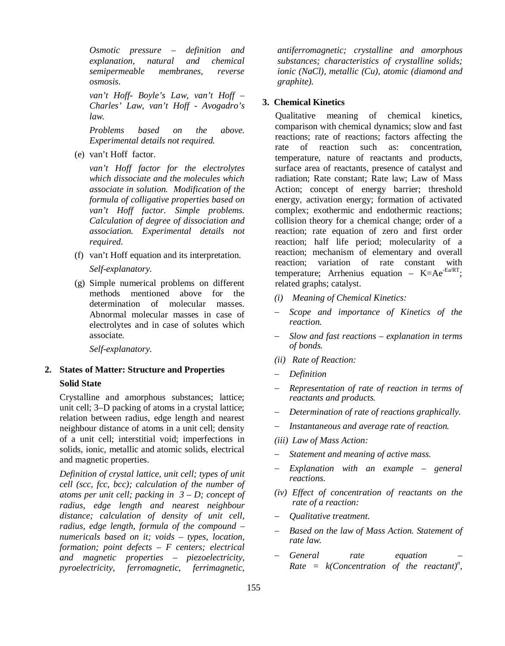*Osmotic pressure – definition and explanation, natural and chemical semipermeable membranes, reverse osmosis.*

*van't Hoff- Boyle's Law, van't Hoff – Charles' Law, van't Hoff - Avogadro's law.* 

*Problems based on the above. Experimental details not required.*

(e) van't Hoff factor.

*van't Hoff factor for the electrolytes which dissociate and the molecules which associate in solution. Modification of the formula of colligative properties based on van't Hoff factor. Simple problems. Calculation of degree of dissociation and association. Experimental details not required.*

- (f) van't Hoff equation and its interpretation. *Self-explanatory.*
- (g) Simple numerical problems on different methods mentioned above for the determination of molecular masses. Abnormal molecular masses in case of electrolytes and in case of solutes which associate.

*Self-explanatory.*

# **2. States of Matter: Structure and Properties Solid State**

Crystalline and amorphous substances; lattice; unit cell; 3–D packing of atoms in a crystal lattice; relation between radius, edge length and nearest neighbour distance of atoms in a unit cell; density of a unit cell; interstitial void; imperfections in solids, ionic, metallic and atomic solids, electrical and magnetic properties.

*Definition of crystal lattice, unit cell; types of unit cell (scc, fcc, bcc); calculation of the number of atoms per unit cell; packing in 3 – D; concept of radius, edge length and nearest neighbour distance; calculation of density of unit cell, radius, edge length, formula of the compound – numericals based on it; voids – types, location, formation; point defects – F centers; electrical and magnetic properties – piezoelectricity, pyroelectricity, ferromagnetic, ferrimagnetic,* 

*antiferromagnetic; crystalline and amorphous substances; characteristics of crystalline solids; ionic (NaCl), metallic (Cu), atomic (diamond and graphite).*

# **3. Chemical Kinetics**

Qualitative meaning of chemical kinetics, comparison with chemical dynamics; slow and fast reactions; rate of reactions; factors affecting the rate of reaction such as: concentration, temperature, nature of reactants and products, surface area of reactants, presence of catalyst and radiation; Rate constant; Rate law; Law of Mass Action; concept of energy barrier; threshold energy, activation energy; formation of activated complex; exothermic and endothermic reactions; collision theory for a chemical change; order of a reaction; rate equation of zero and first order reaction; half life period; molecularity of a reaction; mechanism of elementary and overall reaction; variation of rate constant with temperature; Arrhenius equation –  $K=Ae^{-Ea/RT}$ ; related graphs; catalyst.

- *(i) Meaning of Chemical Kinetics:*
- *Scope and importance of Kinetics of the reaction.*
- *Slow and fast reactions explanation in terms of bonds.*
- *(ii) Rate of Reaction:*
- *Definition*
- *Representation of rate of reaction in terms of reactants and products.*
- *Determination of rate of reactions graphically.*
- *Instantaneous and average rate of reaction.*
- *(iii) Law of Mass Action:*
- *Statement and meaning of active mass.*
- *Explanation with an example general reactions.*
- *(iv) Effect of concentration of reactants on the rate of a reaction:*
- *Qualitative treatment.*
- *Based on the law of Mass Action. Statement of rate law.*
- *General rate equation Rate* =  $k$ (*Concentration of the reactant*)<sup>*n*</sup>,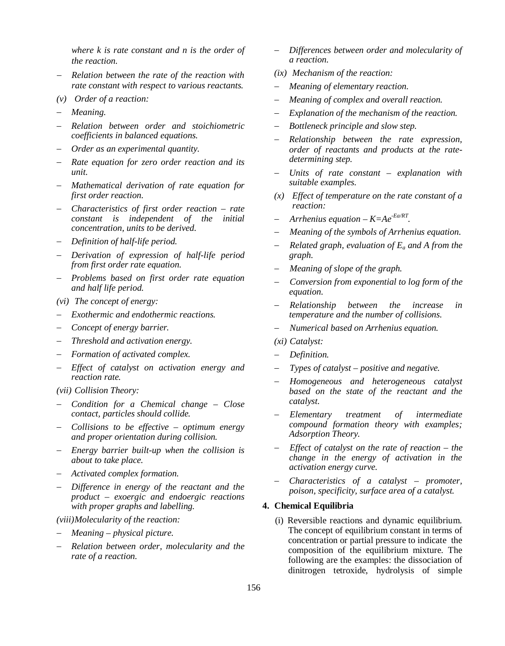*where k is rate constant and n is the order of the reaction.*

- *Relation between the rate of the reaction with rate constant with respect to various reactants.*
- *(v) Order of a reaction:*
- *Meaning.*
- *Relation between order and stoichiometric coefficients in balanced equations.*
- *Order as an experimental quantity.*
- *Rate equation for zero order reaction and its unit.*
- *Mathematical derivation of rate equation for first order reaction.*
- *Characteristics of first order reaction rate constant is independent of the initial concentration, units to be derived.*
- *Definition of half-life period.*
- *Derivation of expression of half-life period from first order rate equation.*
- *Problems based on first order rate equation and half life period.*
- *(vi) The concept of energy:*
- *Exothermic and endothermic reactions.*
- *Concept of energy barrier.*
- *Threshold and activation energy.*
- *Formation of activated complex.*
- *Effect of catalyst on activation energy and reaction rate.*
- *(vii) Collision Theory:*
- *Condition for a Chemical change Close contact, particles should collide.*
- *Collisions to be effective optimum energy and proper orientation during collision.*
- *Energy barrier built-up when the collision is about to take place.*
- *Activated complex formation.*
- *Difference in energy of the reactant and the product – exoergic and endoergic reactions with proper graphs and labelling.*

## *(viii)Molecularity of the reaction:*

- *Meaning physical picture.*
- *Relation between order, molecularity and the rate of a reaction.*
- *Differences between order and molecularity of a reaction.*
- *(ix) Mechanism of the reaction:*
- *Meaning of elementary reaction.*
- *Meaning of complex and overall reaction.*
- *Explanation of the mechanism of the reaction.*
- *Bottleneck principle and slow step.*
- *Relationship between the rate expression, order of reactants and products at the ratedetermining step.*
- *Units of rate constant explanation with suitable examples.*
- *(x) Effect of temperature on the rate constant of a reaction:*
- *Arrhenius equation K=Ae-Ea/RT .*
- *Meaning of the symbols of Arrhenius equation.*
- *Related graph, evaluation of Ea and A from the graph.*
- *Meaning of slope of the graph.*
- *Conversion from exponential to log form of the equation.*
- *Relationship between the increase in temperature and the number of collisions.*
- *Numerical based on Arrhenius equation.*
- *(xi) Catalyst:*
- *Definition.*
- *Types of catalyst positive and negative.*
- *Homogeneous and heterogeneous catalyst based on the state of the reactant and the catalyst.*
- *Elementary treatment of intermediate compound formation theory with examples; Adsorption Theory.*
- *Effect of catalyst on the rate of reaction the change in the energy of activation in the activation energy curve.*
- *Characteristics of a catalyst promoter, poison, specificity, surface area of a catalyst.*

### **4. Chemical Equilibria**

(i) Reversible reactions and dynamic equilibrium. The concept of equilibrium constant in terms of concentration or partial pressure to indicate the composition of the equilibrium mixture. The following are the examples: the dissociation of dinitrogen tetroxide, hydrolysis of simple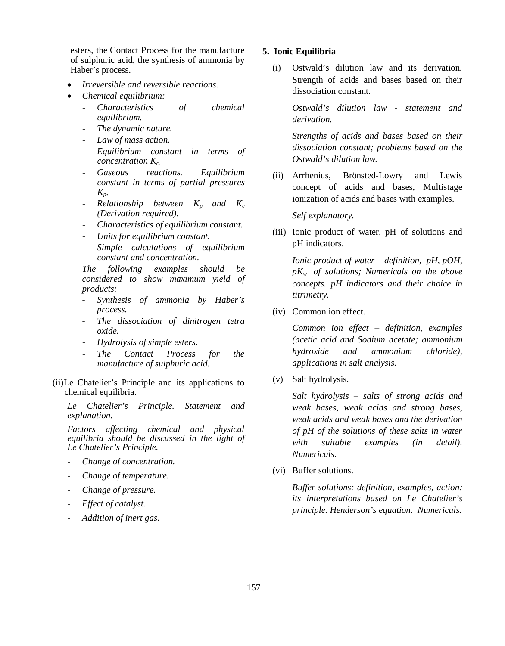esters, the Contact Process for the manufacture of sulphuric acid, the synthesis of ammonia by Haber's process.

- *Irreversible and reversible reactions.*
- *Chemical equilibrium:* 
	- *Characteristics of chemical equilibrium.*
	- *The dynamic nature.*
	- Law of mass action.
	- *Equilibrium constant in terms of concentration Kc.*
	- *Gaseous reactions. Equilibrium constant in terms of partial pressures Kp.*
	- $\mathcal{R}$ *elationship between*  $K_p$  *and*  $K_c$ *(Derivation required).*
	- *Characteristics of equilibrium constant.*
	- *Units for equilibrium constant.*
	- *Simple calculations of equilibrium constant and concentration.*

*The following examples should be considered to show maximum yield of products:*

- *Synthesis of ammonia by Haber's process.*
- *The dissociation of dinitrogen tetra oxide.*
- *Hydrolysis of simple esters.*
- $The$  *Contact Process for the manufacture of sulphuric acid.*
- (ii)Le Chatelier's Principle and its applications to chemical equilibria.

*Le Chatelier's Principle. Statement and explanation.*

*Factors affecting chemical and physical equilibria should be discussed in the light of Le Chatelier's Principle.*

- *Change of concentration.*
- *Change of temperature.*
- *Change of pressure.*
- *Effect of catalyst.*
- *Addition of inert gas.*

#### **5. Ionic Equilibria**

(i) Ostwald's dilution law and its derivation. Strength of acids and bases based on their dissociation constant.

> *Ostwald's dilution law - statement and derivation.*

> *Strengths of acids and bases based on their dissociation constant; problems based on the Ostwald's dilution law.*

(ii) Arrhenius, Brönsted-Lowry and Lewis concept of acids and bases, Multistage ionization of acids and bases with examples.

*Self explanatory.*

(iii) Ionic product of water, pH of solutions and pH indicators.

*Ionic product of water – definition, pH, pOH, pKw of solutions; Numericals on the above concepts. pH indicators and their choice in titrimetry.*

(iv) Common ion effect*.*

*Common ion effect – definition, examples (acetic acid and Sodium acetate; ammonium hydroxide and ammonium chloride), applications in salt analysis.*

(v) Salt hydrolysis.

*Salt hydrolysis – salts of strong acids and weak bases, weak acids and strong bases, weak acids and weak bases and the derivation of pH of the solutions of these salts in water with suitable examples (in detail). Numericals.*

(vi) Buffer solutions.

*Buffer solutions: definition, examples, action; its interpretations based on Le Chatelier's principle. Henderson's equation. Numericals.*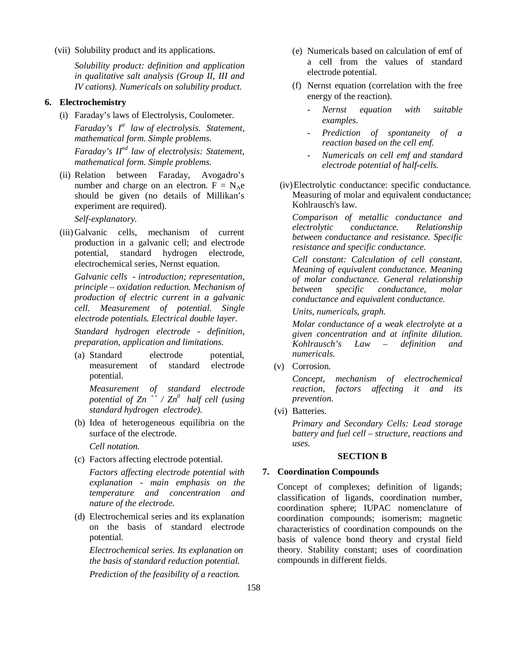(vii) Solubility product and its applications.

*Solubility product: definition and application in qualitative salt analysis (Group II, III and IV cations). Numericals on solubility product.*

### **6. Electrochemistry**

(i) Faraday's laws of Electrolysis, Coulometer. *Faraday's Ist law of electrolysis. Statement, mathematical form. Simple problems. Faraday's IInd law of electrolysis: Statement,* 

*mathematical form. Simple problems.*

(ii) Relation between Faraday, Avogadro's number and charge on an electron.  $F = N_Ae$ should be given (no details of Millikan's experiment are required).

*Self-explanatory.*

(iii) Galvanic cells, mechanism of current production in a galvanic cell; and electrode potential, standard hydrogen electrode, electrochemical series, Nernst equation.

*Galvanic cells - introduction; representation, principle – oxidation reduction. Mechanism of production of electric current in a galvanic cell. Measurement of potential. Single electrode potentials. Electrical double layer.*

*Standard hydrogen electrode - definition, preparation, application and limitations.*

(a) Standard electrode potential, measurement of standard electrode potential.

*Measurement of standard electrode potential of Zn ++ / Zn<sup>0</sup>half cell (using standard hydrogen electrode).*

(b) Idea of heterogeneous equilibria on the surface of the electrode.

*Cell notation.* 

(c) Factors affecting electrode potential.

*Factors affecting electrode potential with explanation - main emphasis on the temperature and concentration and nature of the electrode.*

(d) Electrochemical series and its explanation on the basis of standard electrode potential.

*Electrochemical series. Its explanation on the basis of standard reduction potential. Prediction of the feasibility of a reaction.*

- (e) Numericals based on calculation of emf of a cell from the values of standard electrode potential.
- (f) Nernst equation (correlation with the free energy of the reaction).
	- *Nernst equation with suitable examples.*
	- *Prediction of spontaneity of a reaction based on the cell emf.*
	- *Numericals on cell emf and standard electrode potential of half-cells.*
- (iv)Electrolytic conductance: specific conductance. Measuring of molar and equivalent conductance; Kohlrausch's law.

*Comparison of metallic conductance and electrolytic conductance. Relationship between conductance and resistance. Specific resistance and specific conductance.* 

*Cell constant: Calculation of cell constant. Meaning of equivalent conductance. Meaning of molar conductance. General relationship between specific conductance, molar conductance and equivalent conductance.*

*Units, numericals, graph.*

*Molar conductance of a weak electrolyte at a given concentration and at infinite dilution. Kohlrausch's Law – definition and numericals.*

(v) Corrosion.

*Concept, mechanism of electrochemical reaction, factors affecting it and its prevention.*

(vi) Batteries*.*

*Primary and Secondary Cells: Lead storage battery and fuel cell – structure, reactions and uses.*

#### **SECTION B**

#### **7. Coordination Compounds**

Concept of complexes; definition of ligands; classification of ligands, coordination number, coordination sphere; IUPAC nomenclature of coordination compounds; isomerism; magnetic characteristics of coordination compounds on the basis of valence bond theory and crystal field theory. Stability constant; uses of coordination compounds in different fields.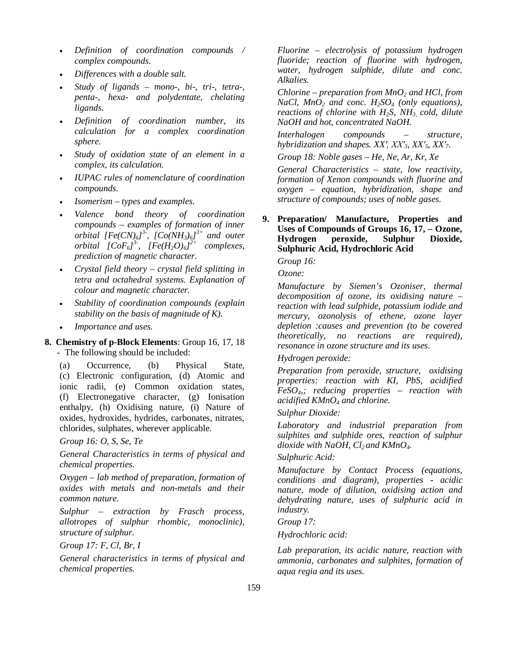- *Definition of coordination compounds / complex compounds.*
- *Differences with a double salt.*
- *Study of ligands mono-, bi-, tri-, tetra-, penta-, hexa- and polydentate, chelating ligands.*
- *Definition of coordination number, its calculation for a complex coordination sphere.*
- *Study of oxidation state of an element in a complex, its calculation.*
- *IUPAC rules of nomenclature of coordination compounds.*
- *Isomerism types and examples.*
- *Valence bond theory of coordination compounds – examples of formation of inner orbital* [Fe(CN) $_6$ ]<sup>3-</sup>, [Co(NH<sub>3</sub>) $_6$ ]<sup>3+</sup> and outer *orbital*  $[CoF<sub>6</sub>]<sup>3</sup>$ ,  $[Fe(H<sub>2</sub>O)<sub>6</sub>]<sup>2+</sup>$  complexes, *prediction of magnetic character.*
- *Crystal field theory crystal field splitting in tetra and octahedral systems. Explanation of colour and magnetic character.*
- *Stability of coordination compounds (explain stability on the basis of magnitude of K).*
- *Importance and uses.*

**8. Chemistry of p-Block Elements**: Group 16, 17, 18 - The following should be included:

(a) Occurrence, (b) Physical State, (c) Electronic configuration, (d) Atomic and ionic radii, (e) Common oxidation states, (f) Electronegative character, (g) Ionisation enthalpy, (h) Oxidising nature, (i) Nature of oxides, hydroxides, hydrides, carbonates, nitrates, chlorides, sulphates, wherever applicable.

*Group 16: O, S, Se, Te*

*General Characteristics in terms of physical and chemical properties.*

*Oxygen – lab method of preparation, formation of oxides with metals and non-metals and their common nature.*

*Sulphur – extraction by Frasch process, allotropes of sulphur rhombic, monoclinic), structure of sulphur.*

*Group 17: F, Cl, Br, I*

*General characteristics in terms of physical and chemical properties.*

*Fluorine – electrolysis of potassium hydrogen fluoride; reaction of fluorine with hydrogen, water, hydrogen sulphide, dilute and conc. Alkalies.*

*Chlorine – preparation from MnO2 and HCl, from NaCl, MnO*<sub>2</sub> *and conc.*  $H_2SO_4$  *(only equations), reactions of chlorine with H2S, NH3, cold, dilute NaOH and hot, concentrated NaOH.*

*Interhalogen compounds – structure, hybridization and shapes. XX′, XX′3, XX′5, XX′7.*

*Group 18: Noble gases – He, Ne, Ar, Kr, Xe*

*General Characteristics – state, low reactivity, formation of Xenon compounds with fluorine and oxygen – equation, hybridization, shape and structure of compounds; uses of noble gases.*

# **9. Preparation/ Manufacture, Properties and Uses of Compounds of Groups 16, 17, – Ozone, Hydrogen peroxide, Sulphur Dioxide, Sulphuric Acid, Hydrochloric Acid**

*Group 16:* 

*Ozone:* 

*Manufacture by Siemen's Ozoniser, thermal decomposition of ozone, its oxidising nature – reaction with lead sulphide, potassium iodide and mercury, ozonolysis of ethene, ozone layer depletion :causes and prevention (to be covered theoretically, no reactions are required), resonance in ozone structure and its uses.*

## *Hydrogen peroxide:*

*Preparation from peroxide, structure, oxidising properties: reaction with KI, PbS, acidified FeSO4,; reducing properties – reaction with acidified KMnO4 and chlorine.*

## *Sulphur Dioxide:*

*Laboratory and industrial preparation from sulphites and sulphide ores, reaction of sulphur dioxide with NaOH, Cl2 and KMnO4.*

## *Sulphuric Acid:*

*Manufacture by Contact Process (equations, conditions and diagram), properties - acidic nature, mode of dilution, oxidising action and dehydrating nature, uses of sulphuric acid in industry.*

*Group 17:* 

*Hydrochloric acid:*

*Lab preparation, its acidic nature, reaction with ammonia, carbonates and sulphites, formation of aqua regia and its uses.*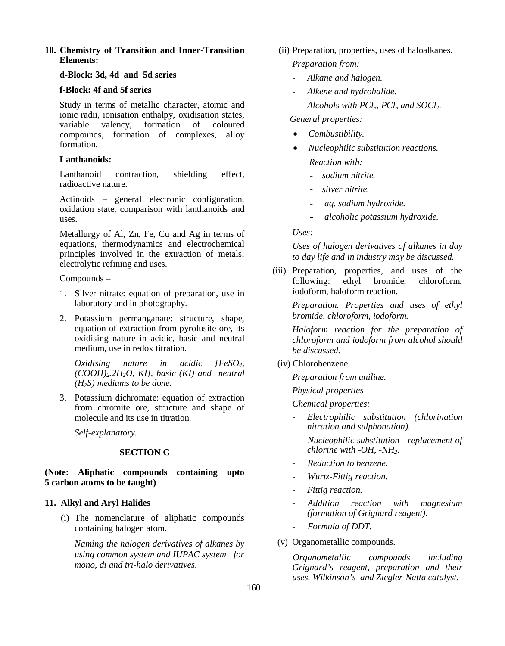## **10. Chemistry of Transition and Inner-Transition Elements:**

# **d-Block: 3d, 4d and 5d series**

# **f-Block: 4f and 5f series**

Study in terms of metallic character, atomic and ionic radii, ionisation enthalpy, oxidisation states, variable valency, formation of coloured compounds, formation of complexes, alloy formation.

# **Lanthanoids:**

Lanthanoid contraction, shielding effect, radioactive nature.

Actinoids – general electronic configuration, oxidation state, comparison with lanthanoids and uses.

Metallurgy of Al, Zn, Fe, Cu and Ag in terms of equations, thermodynamics and electrochemical principles involved in the extraction of metals; electrolytic refining and uses.

Compounds –

- 1. Silver nitrate: equation of preparation, use in laboratory and in photography.
- 2. Potassium permanganate: structure, shape, equation of extraction from pyrolusite ore, its oxidising nature in acidic, basic and neutral medium, use in redox titration.

*Oxidising nature in acidic [FeSO4, (COOH)2.2H2O, KI], basic (KI) and neutral (H2S) mediums to be done.*

3. Potassium dichromate: equation of extraction from chromite ore, structure and shape of molecule and its use in titration.

*Self-explanatory.*

# **SECTION C**

# **(Note: Aliphatic compounds containing upto 5 carbon atoms to be taught)**

# **11. Alkyl and Aryl Halides**

(i) The nomenclature of aliphatic compounds containing halogen atom.

*Naming the halogen derivatives of alkanes by using common system and IUPAC system for mono, di and tri-halo derivatives.*

- (ii) Preparation, properties, uses of haloalkanes. *Preparation from:* 
	- *Alkane and halogen.*
	- *Alkene and hydrohalide.*
	- *Alcohols with PCl3, PCl5 and SOCl2.*

## *General properties:*

- *Combustibility.*
- *Nucleophilic substitution reactions. Reaction with:* 
	- *sodium nitrite.*
	- *silver nitrite.*
	- *aq. sodium hydroxide.*
	- - *alcoholic potassium hydroxide.*

# *Uses:*

*Uses of halogen derivatives of alkanes in day to day life and in industry may be discussed.*

(iii) Preparation, properties, and uses of the following: ethyl bromide, chloroform, iodoform, haloform reaction.

> *Preparation. Properties and uses of ethyl bromide, chloroform, iodoform.*

> *Haloform reaction for the preparation of chloroform and iodoform from alcohol should be discussed.*

## (iv) Chlorobenzene.

*Preparation from aniline.* 

*Physical properties*

*Chemical properties:*

- *Electrophilic substitution (chlorination nitration and sulphonation).*
- *Nucleophilic substitution replacement of chlorine with -OH, -NH2.*
- *Reduction to benzene.*
- *Wurtz-Fittig reaction.*
- *Fittig reaction.*
- *Addition reaction with magnesium (formation of Grignard reagent).*
- *Formula of DDT.*
- (v) Organometallic compounds.

*Organometallic compounds including Grignard's reagent, preparation and their uses. Wilkinson's and Ziegler-Natta catalyst.*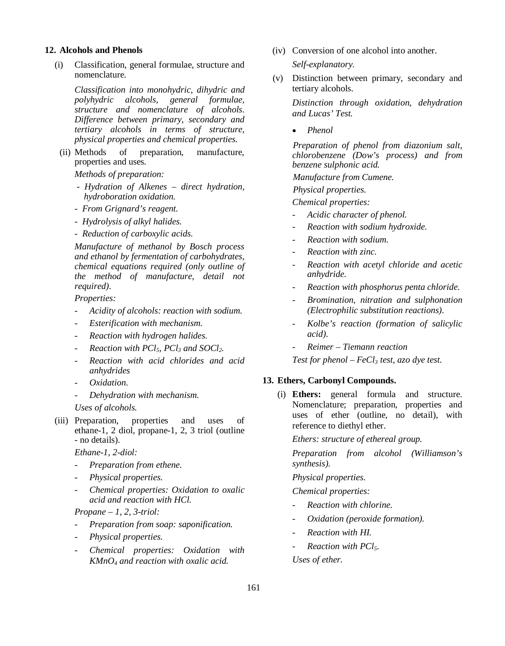#### **12. Alcohols and Phenols**

(i) Classification, general formulae, structure and nomenclature.

> *Classification into monohydric, dihydric and polyhydric alcohols, general formulae, structure and nomenclature of alcohols. Difference between primary, secondary and tertiary alcohols in terms of structure, physical properties and chemical properties.*

(ii) Methods of preparation, manufacture, properties and uses*.*

*Methods of preparation:* 

- *Hydration of Alkenes direct hydration, hydroboration oxidation.*
- *From Grignard's reagent.*
- *Hydrolysis of alkyl halides.*
- *Reduction of carboxylic acids.*

*Manufacture of methanol by Bosch process and ethanol by fermentation of carbohydrates, chemical equations required (only outline of the method of manufacture, detail not required).*

*Properties:*

- *Acidity of alcohols: reaction with sodium.*
- *Esterification with mechanism.*
- *Reaction with hydrogen halides.*
- *Reaction with PCl5, PCl3 and SOCl2.*
- *Reaction with acid chlorides and acid anhydrides*
- *Oxidation.*
- *Dehydration with mechanism.*

*Uses of alcohols.*

(iii) Preparation, properties and uses of ethane-1, 2 diol, propane-1, 2, 3 triol (outline - no details).

*Ethane-1, 2-diol:*

- *- Preparation from ethene.*
- *- Physical properties.*
- *- Chemical properties: Oxidation to oxalic acid and reaction with HCl.*

*Propane – 1, 2, 3-triol:*

- *Preparation from soap: saponification.*
- *Physical properties.*
- *Chemical properties: Oxidation with KMnO4 and reaction with oxalic acid.*

(iv) Conversion of one alcohol into another.

*Self-explanatory.*

(v) Distinction between primary, secondary and tertiary alcohols.

*Distinction through oxidation, dehydration and Lucas' Test.*

*Phenol*

*Preparation of phenol from diazonium salt, chlorobenzene (Dow's process) and from benzene sulphonic acid.*

*Manufacture from Cumene.*

*Physical properties.*

*Chemical properties:* 

- *Acidic character of phenol.*
- *Reaction with sodium hydroxide.*
- *Reaction with sodium.*
- *Reaction with zinc.*
- *Reaction with acetyl chloride and acetic anhydride.*
- *Reaction with phosphorus penta chloride.*
- *Bromination, nitration and sulphonation (Electrophilic substitution reactions).*
- *Kolbe's reaction (formation of salicylic acid).*
- *Reimer Tiemann reaction*

*Test for phenol – FeCl3 test, azo dye test.*

#### **13. Ethers, Carbonyl Compounds.**

(i) **Ethers:** general formula and structure. Nomenclature; preparation, properties and uses of ether (outline, no detail), with reference to diethyl ether.

*Ethers: structure of ethereal group.*

*Preparation from alcohol (Williamson's synthesis).* 

*Physical properties.*

*Chemical properties:* 

- *Reaction with chlorine.*
- *Oxidation (peroxide formation).*
- *Reaction with HI.*
- *Reaction with PCl5.*

*Uses of ether.*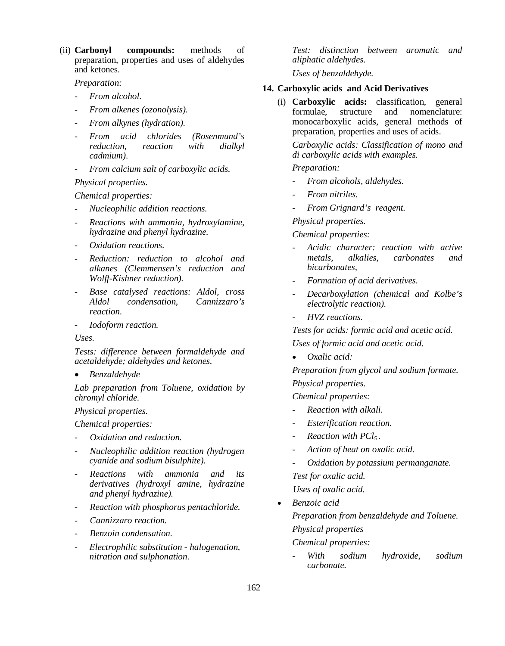(ii) **Carbonyl compounds:** methods of preparation, properties and uses of aldehydes and ketones.

*Preparation:*

- *From alcohol.*
- *From alkenes (ozonolysis).*
- *From alkynes (hydration).*
- *From acid chlorides (Rosenmund's reduction, reaction with dialkyl cadmium).*
- *From calcium salt of carboxylic acids.*

#### *Physical properties.*

*Chemical properties:*

- *Nucleophilic addition reactions.*
- *Reactions with ammonia, hydroxylamine, hydrazine and phenyl hydrazine.*
- *Oxidation reactions.*
- *Reduction: reduction to alcohol and alkanes (Clemmensen's reduction and Wolff-Kishner reduction).*
- *Base catalysed reactions: Aldol, cross Aldol condensation, Cannizzaro's reaction.*
- *Iodoform reaction.*

*Uses.*

*Tests: difference between formaldehyde and acetaldehyde; aldehydes and ketones.*

*Benzaldehyde*

*Lab preparation from Toluene, oxidation by chromyl chloride.* 

#### *Physical properties.*

*Chemical properties:*

- *Oxidation and reduction.*
- *Nucleophilic addition reaction (hydrogen cyanide and sodium bisulphite).*
- *Reactions with ammonia and its derivatives (hydroxyl amine, hydrazine and phenyl hydrazine).*
- *Reaction with phosphorus pentachloride.*
- *Cannizzaro reaction.*
- *Benzoin condensation.*
- *Electrophilic substitution - halogenation, nitration and sulphonation.*

*Test: distinction between aromatic and aliphatic aldehydes.* 

*Uses of benzaldehyde.*

## **14. Carboxylic acids and Acid Derivatives**

(i) **Carboxylic acids:** classification, general formulae, structure and nomenclature: monocarboxylic acids, general methods of preparation, properties and uses of acids.

*Carboxylic acids: Classification of mono and di carboxylic acids with examples.* 

## *Preparation:*

- *From alcohols, aldehydes.*
- *From nitriles.*
- *From Grignard's reagent.*

#### *Physical properties.*

#### *Chemical properties:*

- *- Acidic character: reaction with active metals, alkalies, carbonates and bicarbonates,*
- *- Formation of acid derivatives.*
- *- Decarboxylation (chemical and Kolbe's electrolytic reaction).*
- *- HVZ reactions.*

*Tests for acids: formic acid and acetic acid. Uses of formic acid and acetic acid.* 

*Oxalic acid:* 

*Preparation from glycol and sodium formate. Physical properties.*

*Chemical properties:*

- *Reaction with alkali.*
- *Esterification reaction.*
- *Reaction with PCl5 .*
- *Action of heat on oxalic acid.*
- *Oxidation by potassium permanganate. Test for oxalic acid. Uses of oxalic acid.*
- *Benzoic acid Preparation from benzaldehyde and Toluene. Physical properties Chemical properties:*
	- *With sodium hydroxide, sodium carbonate.*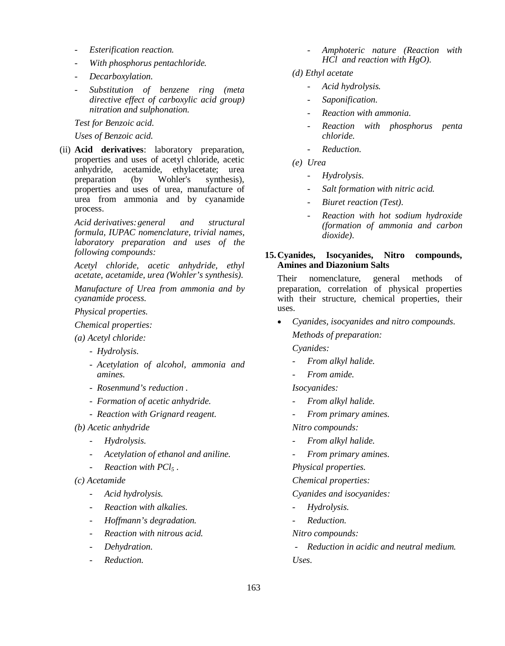- *Esterification reaction.*
- *With phosphorus pentachloride.*
- *Decarboxylation.*
- *Substitution of benzene ring (meta directive effect of carboxylic acid group) nitration and sulphonation.*

*Test for Benzoic acid.* 

#### *Uses of Benzoic acid.*

(ii) **Acid derivatives**: laboratory preparation, properties and uses of acetyl chloride, acetic anhydride, acetamide, ethylacetate; urea preparation (by Wohler's synthesis), properties and uses of urea, manufacture of urea from ammonia and by cyanamide process.

*Acid derivatives:general and structural formula, IUPAC nomenclature, trivial names, laboratory preparation and uses of the following compounds:* 

*Acetyl chloride, acetic anhydride, ethyl acetate, acetamide, urea (Wohler's synthesis).* 

*Manufacture of Urea from ammonia and by cyanamide process.*

*Physical properties.*

*Chemical properties:*

*(a) Acetyl chloride:* 

- *Hydrolysis.*
- *Acetylation of alcohol, ammonia and amines.*
- *Rosenmund's reduction .*
- *Formation of acetic anhydride.*
- *Reaction with Grignard reagent.*

*(b) Acetic anhydride*

- *Hydrolysis.*
- *Acetylation of ethanol and aniline.*
- *Reaction with PCl5 .*
- *(c) Acetamide*
	- *Acid hydrolysis.*
	- *Reaction with alkalies.*
	- *Hoffmann's degradation.*
	- *Reaction with nitrous acid.*
	- *Dehydration.*
	- *Reduction.*
- *Amphoteric nature (Reaction with HCl and reaction with HgO).*
- *(d) Ethyl acetate*
	- *Acid hydrolysis.*
	- *Saponification.*
	- *Reaction with ammonia.*
	- *Reaction with phosphorus penta chloride.*
	- *Reduction.*
- *(e) Urea*
	- *Hydrolysis.*
	- *Salt formation with nitric acid.*
	- *Biuret reaction (Test).*
	- *Reaction with hot sodium hydroxide (formation of ammonia and carbon dioxide).*

#### **15.Cyanides, Isocyanides, Nitro compounds, Amines and Diazonium Salts**

Their nomenclature, general methods of preparation, correlation of physical properties with their structure, chemical properties, their uses.

*Cyanides, isocyanides and nitro compounds.*

*Methods of preparation:*

*Cyanides:*

- *From alkyl halide.*
- *From amide.*

*Isocyanides:*

- *From alkyl halide.*
- *From primary amines.*

*Nitro compounds:*

- *From alkyl halide.*
- *From primary amines.*

*Physical properties.* 

*Chemical properties:*

*Cyanides and isocyanides:*

- *Hydrolysis.*
- *Reduction.*

*Nitro compounds:*

*- Reduction in acidic and neutral medium. Uses.*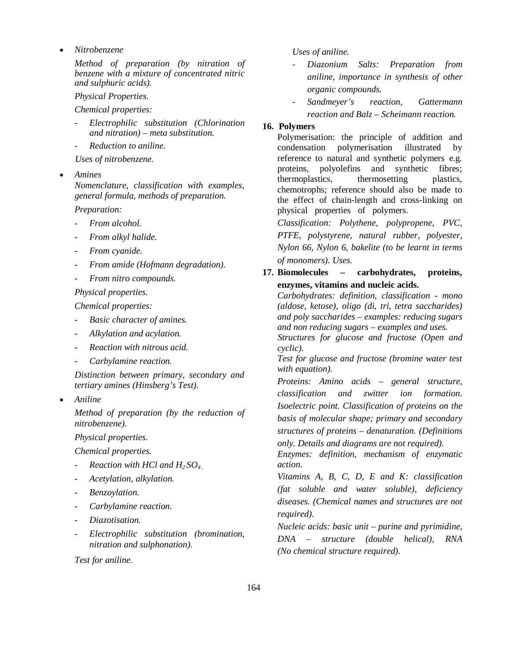*Nitrobenzene*

*Method of preparation (by nitration of benzene with a mixture of concentrated nitric and sulphuric acids).*

*Physical Properties.*

*Chemical properties:*

- *Electrophilic substitution (Chlorination and nitration) – meta substitution.*
- *Reduction to aniline.*

*Uses of nitrobenzene.* 

*Amines* 

*Nomenclature, classification with examples, general formula, methods of preparation.* 

*Preparation:*

- *From alcohol.*
- *From alkyl halide.*
- *From cyanide.*
- *From amide (Hofmann degradation).*
- *From nitro compounds.*

*Physical properties.*

*Chemical properties:* 

- *Basic character of amines.*
- *Alkylation and acylation.*
- *Reaction with nitrous acid.*
- *Carbylamine reaction.*

*Distinction between primary, secondary and tertiary amines (Hinsberg's Test).*

*Aniline*

*Method of preparation (by the reduction of nitrobenzene).*

*Physical properties.*

*Chemical properties.*

- *Reaction with HCl and H2 SO4 .*
- *Acetylation, alkylation.*
- *Benzoylation.*
- *Carbylamine reaction.*
- *Diazotisation.*
- *Electrophilic substitution (bromination, nitration and sulphonation).*

*Test for aniline.*

### *Uses of aniline.*

- *Diazonium Salts: Preparation from aniline, importance in synthesis of other organic compounds.*
- *Sandmeyer's reaction, Gattermann reaction and Balz – Scheimann reaction.*

# **16. Polymers**

Polymerisation: the principle of addition and condensation polymerisation illustrated by reference to natural and synthetic polymers e.g. proteins, polyolefins and synthetic fibres; thermoplastics, thermosetting plastics, chemotrophs; reference should also be made to the effect of chain-length and cross-linking on physical properties of polymers.

*Classification: Polythene, polypropene, PVC, PTFE, polystyrene, natural rubber, polyester, Nylon 66, Nylon 6, bakelite (to be learnt in terms of monomers). Uses.*

**17. Biomolecules – carbohydrates, proteins, enzymes, vitamins and nucleic acids.**

*Carbohydrates: definition, classification - mono (aldose, ketose), oligo (di, tri, tetra saccharides) and poly saccharides – examples: reducing sugars and non reducing sugars – examples and uses.*

*Structures for glucose and fructose (Open and cyclic).*

*Test for glucose and fructose (bromine water test with equation).* 

*Proteins: Amino acids – general structure, classification and zwitter ion formation. Isoelectric point. Classification of proteins on the basis of molecular shape; primary and secondary structures of proteins – denaturation. (Definitions only. Details and diagrams are not required).*

*Enzymes: definition, mechanism of enzymatic action.*

*Vitamins A, B, C, D, E and K: classification (fat soluble and water soluble), deficiency diseases. (Chemical names and structures are not required).*

*Nucleic acids: basic unit – purine and pyrimidine, DNA – structure (double helical), RNA (No chemical structure required).*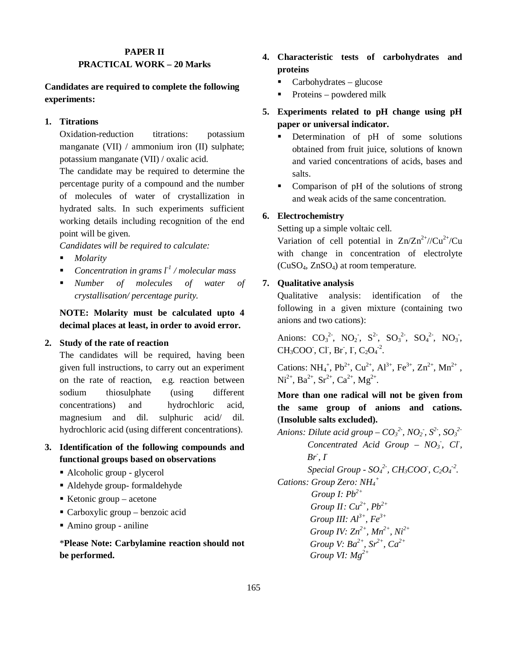# **PAPER II PRACTICAL WORK – 20 Marks**

# **Candidates are required to complete the following experiments:**

# **1. Titrations**

Oxidation-reduction titrations: potassium manganate (VII) / ammonium iron (II) sulphate; potassium manganate (VII) / oxalic acid.

The candidate may be required to determine the percentage purity of a compound and the number of molecules of water of crystallization in hydrated salts. In such experiments sufficient working details including recognition of the end point will be given.

*Candidates will be required to calculate:*

- *Molarity*
- *Concentration in grams l-1 / molecular mass*
- *Number of molecules of water of crystallisation/ percentage purity.*

**NOTE: Molarity must be calculated upto 4 decimal places at least, in order to avoid error.**

## **2. Study of the rate of reaction**

The candidates will be required, having been given full instructions, to carry out an experiment on the rate of reaction, e.g. reaction between sodium thiosulphate (using different concentrations) and hydrochloric acid, magnesium and dil. sulphuric acid/ dil. hydrochloric acid (using different concentrations).

- **3. Identification of the following compounds and functional groups based on observations**
	- Alcoholic group glycerol
	- Aldehyde group- formaldehyde
	- Ketonic group acetone
	- Carboxylic group benzoic acid
	- Amino group aniline

\***Please Note: Carbylamine reaction should not be performed.**

- **4. Characteristic tests of carbohydrates and proteins**
	- $\blacksquare$  Carbohydrates glucose
	- Proteins powdered milk
- **5. Experiments related to pH change using pH paper or universal indicator.**
	- Determination of pH of some solutions obtained from fruit juice, solutions of known and varied concentrations of acids, bases and salts.
	- Comparison of pH of the solutions of strong and weak acids of the same concentration.

# **6. Electrochemistry**

Setting up a simple voltaic cell.

Variation of cell potential in  $Zn/Zn^{2+}/Cu^{2+}/Cu$ with change in concentration of electrolyte  $(CuSO<sub>4</sub>, ZnSO<sub>4</sub>)$  at room temperature.

# **7. Qualitative analysis**

Qualitative analysis: identification of the following in a given mixture (containing two anions and two cations):

Anions:  $CO_3^2$ ,  $NO_2$ ,  $S^2$ ,  $SO_3^2$ ,  $SO_4^2$ ,  $NO_3$ ,  $CH_3COO^{\dagger}$ , Cl<sup>-</sup>, Br<sup>-</sup>, I<sup>-</sup>, C<sub>2</sub>O<sub>4</sub><sup>-2</sup>.

Cations:  $NH_4^+$ ,  $Pb^{2+}$ ,  $Cu^{2+}$ ,  $Al^{3+}$ ,  $Fe^{3+}$ ,  $Zn^{2+}$ ,  $Mn^{2+}$ ,  $\text{Ni}^{2+}$ ,  $\text{Ba}^{2+}$ ,  $\text{Sr}^{2+}$ ,  $\text{Ca}^{2+}$ ,  $\text{Mg}^{2+}$ .

**More than one radical will not be given from the same group of anions and cations.** (**Insoluble salts excluded).**

*Anions: Dilute acid group – CO<sup>3</sup> 2- , NO<sup>2</sup> - , S2- , SO<sup>3</sup> 2- Concentrated Acid Group – NO<sup>3</sup> - , Cl- , Br- , I-Special Group -*  $SO_4^2$ *<sup>2</sup>, CH<sub>3</sub>COO<sup><i>*</sup>, C<sub>2</sub>O<sub>4</sub><sup>-2</sup>. *Cations: Group Zero: NH<sup>4</sup> +*

*Group I: Pb2+ Group II: Cu2+, Pb2+ Group III: Al3+, Fe3+ Group IV: Zn2+, Mn2+ , Ni2+ Group V: Ba2+, Sr2+, Ca2+ Group VI: Mg2+*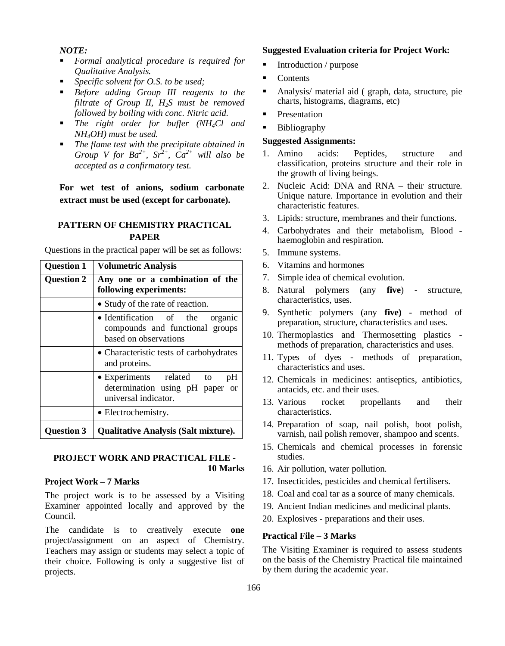### *NOTE:*

- *Formal analytical procedure is required for Qualitative Analysis.*
- *Specific solvent for O.S. to be used;*
- *Before adding Group III reagents to the filtrate of Group II, H2S must be removed followed by boiling with conc. Nitric acid.*
- *The right order for buffer (NH4Cl and NH4OH) must be used.*
- *The flame test with the precipitate obtained in Group V for*  $Ba^{2+}$ *,*  $Sr^{2+}$ *,*  $Ca^{2+}$  *will also be accepted as a confirmatory test.*

**For wet test of anions, sodium carbonate extract must be used (except for carbonate).**

# **PATTERN OF CHEMISTRY PRACTICAL PAPER**

Questions in the practical paper will be set as follows:

| <b>Question 1</b> | <b>Volumetric Analysis</b>                                                                              |  |  |  |  |  |  |  |  |
|-------------------|---------------------------------------------------------------------------------------------------------|--|--|--|--|--|--|--|--|
| <b>Question 2</b> | Any one or a combination of the<br>following experiments:                                               |  |  |  |  |  |  |  |  |
|                   | • Study of the rate of reaction.                                                                        |  |  |  |  |  |  |  |  |
|                   | • Identification of the<br>organic<br>compounds and functional groups<br>based on observations          |  |  |  |  |  |  |  |  |
|                   | • Characteristic tests of carbohydrates<br>and proteins.                                                |  |  |  |  |  |  |  |  |
|                   | • Experiments related to<br>pH<br>determination using pH paper<br><sub>or</sub><br>universal indicator. |  |  |  |  |  |  |  |  |
|                   | • Electrochemistry.                                                                                     |  |  |  |  |  |  |  |  |
| Ouestion 3        | <b>Qualitative Analysis (Salt mixture).</b>                                                             |  |  |  |  |  |  |  |  |

#### **PROJECT WORK AND PRACTICAL FILE - 10 Marks**

#### **Project Work – 7 Marks**

The project work is to be assessed by a Visiting Examiner appointed locally and approved by the Council.

The candidate is to creatively execute **one**  project/assignment on an aspect of Chemistry. Teachers may assign or students may select a topic of their choice. Following is only a suggestive list of projects.

## **Suggested Evaluation criteria for Project Work:**

- Introduction / purpose
- Contents
- Analysis/ material aid ( graph, data, structure, pie charts, histograms, diagrams, etc)
- Presentation
- **Bibliography**

### **Suggested Assignments:**

- 1. Amino acids: Peptides, structure and classification, proteins structure and their role in the growth of living beings.
- 2. Nucleic Acid: DNA and RNA their structure. Unique nature. Importance in evolution and their characteristic features.
- 3. Lipids: structure, membranes and their functions.
- 4. Carbohydrates and their metabolism, Blood haemoglobin and respiration.
- 5. Immune systems.
- 6. Vitamins and hormones
- 7. Simple idea of chemical evolution.
- 8. Natural polymers (any **five**) structure, characteristics, uses.
- 9. Synthetic polymers (any **five) -** method of preparation, structure, characteristics and uses.
- 10. Thermoplastics and Thermosetting plastics methods of preparation, characteristics and uses.
- 11. Types of dyes methods of preparation, characteristics and uses.
- 12. Chemicals in medicines: antiseptics, antibiotics, antacids, etc. and their uses.
- 13. Various rocket propellants and their characteristics.
- 14. Preparation of soap, nail polish, boot polish, varnish, nail polish remover, shampoo and scents.
- 15. Chemicals and chemical processes in forensic studies.
- 16. Air pollution, water pollution.
- 17. Insecticides, pesticides and chemical fertilisers.
- 18. Coal and coal tar as a source of many chemicals.
- 19. Ancient Indian medicines and medicinal plants.
- 20. Explosives preparations and their uses.

## **Practical File – 3 Marks**

The Visiting Examiner is required to assess students on the basis of the Chemistry Practical file maintained by them during the academic year.